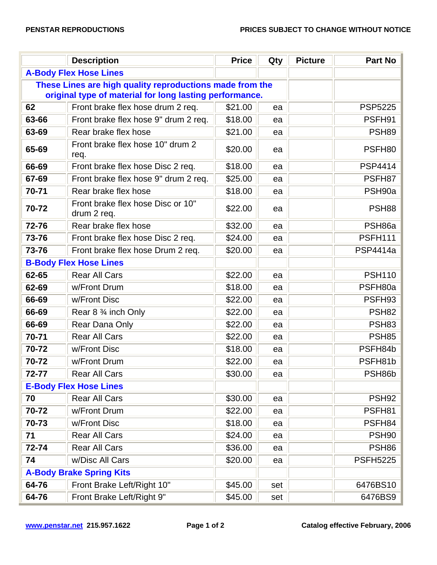|                                                                                                                     | <b>Description</b>                               | <b>Price</b> | Qty | <b>Picture</b> | <b>Part No</b>    |  |  |  |
|---------------------------------------------------------------------------------------------------------------------|--------------------------------------------------|--------------|-----|----------------|-------------------|--|--|--|
| <b>A-Body Flex Hose Lines</b>                                                                                       |                                                  |              |     |                |                   |  |  |  |
| These Lines are high quality reproductions made from the<br>original type of material for long lasting performance. |                                                  |              |     |                |                   |  |  |  |
| 62                                                                                                                  | Front brake flex hose drum 2 req.                | \$21.00      | ea  |                | <b>PSP5225</b>    |  |  |  |
| 63-66                                                                                                               | Front brake flex hose 9" drum 2 req.             | \$18.00      | ea  |                | PSFH91            |  |  |  |
| 63-69                                                                                                               | Rear brake flex hose                             | \$21.00      | ea  |                | <b>PSH89</b>      |  |  |  |
| 65-69                                                                                                               | Front brake flex hose 10" drum 2<br>req.         | \$20.00      | ea  |                | PSFH80            |  |  |  |
| 66-69                                                                                                               | Front brake flex hose Disc 2 req.                | \$18.00      | ea  |                | <b>PSP4414</b>    |  |  |  |
| 67-69                                                                                                               | Front brake flex hose 9" drum 2 req.             | \$25.00      | ea  |                | PSFH87            |  |  |  |
| 70-71                                                                                                               | Rear brake flex hose                             | \$18.00      | ea  |                | PSH90a            |  |  |  |
| 70-72                                                                                                               | Front brake flex hose Disc or 10"<br>drum 2 req. | \$22.00      | ea  |                | <b>PSH88</b>      |  |  |  |
| 72-76                                                                                                               | Rear brake flex hose                             | \$32.00      | ea  |                | PSH86a            |  |  |  |
| 73-76                                                                                                               | Front brake flex hose Disc 2 req.                | \$24.00      | ea  |                | <b>PSFH111</b>    |  |  |  |
| 73-76                                                                                                               | Front brake flex hose Drum 2 req.                | \$20.00      | ea  |                | <b>PSP4414a</b>   |  |  |  |
| <b>B-Body Flex Hose Lines</b>                                                                                       |                                                  |              |     |                |                   |  |  |  |
| 62-65                                                                                                               | <b>Rear All Cars</b>                             | \$22.00      | ea  |                | <b>PSH110</b>     |  |  |  |
| 62-69                                                                                                               | w/Front Drum                                     | \$18.00      | ea  |                | PSFH80a           |  |  |  |
| 66-69                                                                                                               | w/Front Disc                                     | \$22.00      | ea  |                | PSFH93            |  |  |  |
| 66-69                                                                                                               | Rear 8 % inch Only                               | \$22.00      | ea  |                | <b>PSH82</b>      |  |  |  |
| 66-69                                                                                                               | Rear Dana Only                                   | \$22.00      | ea  |                | <b>PSH83</b>      |  |  |  |
| 70-71                                                                                                               | <b>Rear All Cars</b>                             | \$22.00      | ea  |                | <b>PSH85</b>      |  |  |  |
| 70-72                                                                                                               | w/Front Disc                                     | \$18.00      | ea  |                | PSFH84b           |  |  |  |
| 70-72                                                                                                               | w/Front Drum                                     | \$22.00      | ea  |                | PSFH81b           |  |  |  |
| 72-77                                                                                                               | Rear All Cars                                    | \$30.00      | ea  |                | PSH86b            |  |  |  |
|                                                                                                                     | <b>E-Body Flex Hose Lines</b>                    |              |     |                |                   |  |  |  |
| 70                                                                                                                  | <b>Rear All Cars</b>                             | \$30.00      | ea  |                | <b>PSH92</b>      |  |  |  |
| 70-72                                                                                                               | w/Front Drum                                     | \$22.00      | ea  |                | PSFH81            |  |  |  |
| 70-73                                                                                                               | w/Front Disc                                     | \$18.00      | ea  |                | PSFH84            |  |  |  |
| 71                                                                                                                  | <b>Rear All Cars</b>                             | \$24.00      | ea  |                | <b>PSH90</b>      |  |  |  |
| 72-74                                                                                                               | <b>Rear All Cars</b>                             | \$36.00      | ea  |                | PSH <sub>86</sub> |  |  |  |
| 74                                                                                                                  | w/Disc All Cars                                  | \$20.00      | ea  |                | <b>PSFH5225</b>   |  |  |  |
| <b>A-Body Brake Spring Kits</b>                                                                                     |                                                  |              |     |                |                   |  |  |  |
| 64-76                                                                                                               | Front Brake Left/Right 10"                       | \$45.00      | set |                | 6476BS10          |  |  |  |
| 64-76                                                                                                               | Front Brake Left/Right 9"                        | \$45.00      | set |                | 6476BS9           |  |  |  |